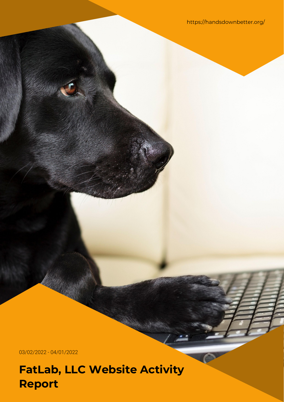https://handsdownbetter.org/

03/02/2022 - 04/01/2022

**FatLab, LLC Website Activity Report**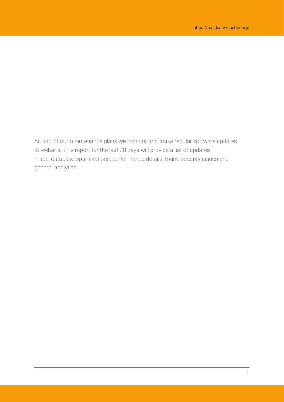As part of our maintenance plans we monitor and make regular software updates to website. This report for the last 30 days will provide a list of updates made, database optimizations, performance details, found security issues and general analytics.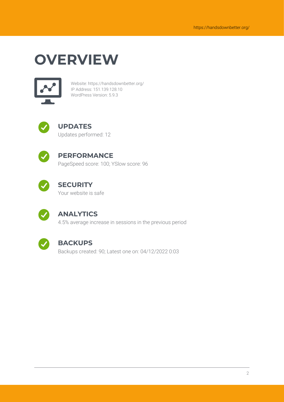## **OVERVIEW**



Website: https://handsdownbetter.org/ IP Address: 151.139.128.10 WordPress Version: 5.9.3



## **UPDATES**

Updates performed: 12



### **PERFORMANCE**

PageSpeed score: 100; YSlow score: 96



### **SECURITY**

Your website is safe



#### **ANALYTICS**

4.5% average increase in sessions in the previous period



#### **BACKUPS**

Backups created: 90; Latest one on: 04/12/2022 0:03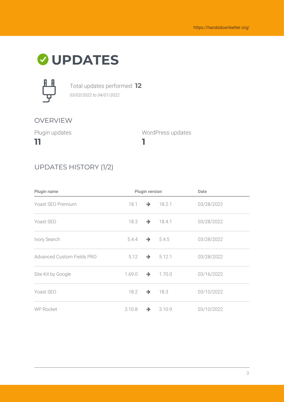## **UPDATES**



Total updates performed: **12** *03/02/2022 to 04/01/2022*

#### OVERVIEW

Plugin updates

**11**

WordPress updates

## UPDATES HISTORY (1/2)

| Plugin name                |        | Plugin version |                      | Date       |
|----------------------------|--------|----------------|----------------------|------------|
| Yoast SEO Premium          | 18.1   |                | $\rightarrow$ 18.2.1 | 03/28/2022 |
| Yoast SEO                  | 18.3   |                | $\rightarrow$ 18.4.1 | 03/28/2022 |
| Ivory Search               | 5.4.4  |                | $\rightarrow 5.4.5$  | 03/28/2022 |
| Advanced Custom Fields PRO | 5.12   |                | $\rightarrow 5.12.1$ | 03/28/2022 |
| Site Kit by Google         | 1.69.0 | $\rightarrow$  | 1.70.0               | 03/16/2022 |
| Yoast SEO                  | 18.2   | $\rightarrow$  | 18.3                 | 03/10/2022 |
| <b>WP Rocket</b>           | 3.10.8 | $\rightarrow$  | 3.10.9               | 03/10/2022 |

**1**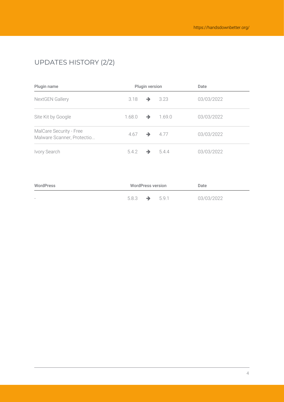## UPDATES HISTORY (2/2)

| Plugin name                                           |        | <b>Plugin version</b> |        | Date       |
|-------------------------------------------------------|--------|-----------------------|--------|------------|
| <b>NextGEN Gallery</b>                                | 3.18   | $\rightarrow$         | 3.23   | 03/03/2022 |
| Site Kit by Google                                    | 1.68.0 | →                     | 1.69.0 | 03/03/2022 |
| MalCare Security - Free<br>Malware Scanner, Protectio | 4.67   | $\rightarrow$         | 4.77   | 03/03/2022 |
| Ivory Search                                          | 5.4.2  |                       | 544    | 03/03/2022 |

| WordPress                | <b>WordPress version</b> |  | Date  |            |
|--------------------------|--------------------------|--|-------|------------|
| $\overline{\phantom{a}}$ | 5.8.3                    |  | 5.9.1 | 03/03/2022 |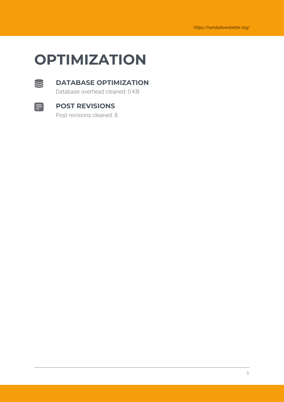## **OPTIMIZATION**



#### **DATABASE OPTIMIZATION**

Database overhead cleaned: 0 KB



#### **POST REVISIONS**

Post revisions cleaned: 8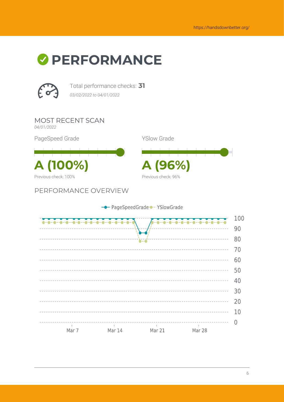# *O* PERFORMANCE



Total performance checks: **31** *03/02/2022 to 04/01/2022*

MOST RECENT SCAN *04/01/2022*

PageSpeed Grade

**A (100%) A (96%)** Previous check: 100%

PERFORMANCE OVERVIEW



Previous check: 96%

YSlow Grade

- PageSpeedGrade - YSlowGrade 100  $0 - 0 - 0 - 0 - 0 - 0 - 0 -$ 90  $\frac{1}{2} \left( \frac{1}{2} \right) \left( \frac{1}{2} \right) \left( \frac{1}{2} \right) \left( \frac{1}{2} \right) \left( \frac{1}{2} \right) \left( \frac{1}{2} \right) \left( \frac{1}{2} \right) \left( \frac{1}{2} \right) \left( \frac{1}{2} \right) \left( \frac{1}{2} \right) \left( \frac{1}{2} \right) \left( \frac{1}{2} \right) \left( \frac{1}{2} \right) \left( \frac{1}{2} \right) \left( \frac{1}{2} \right) \left( \frac{1}{2} \right) \left( \frac$ 80 ------------------------------ $70$ 60 -----------50 \_\_\_\_\_\_\_\_\_\_\_\_\_\_\_\_\_\_\_\_\_\_\_ <u>------------</u> <u> - - - - - - - - - - -</u> 40 30 20 10  $\overline{0}$ . . . . . . . . . . . . . . . . .<br>|<br>|  $\sim 10^{-1}$ Mar 7 Mar 14 Mar 21 Mar 28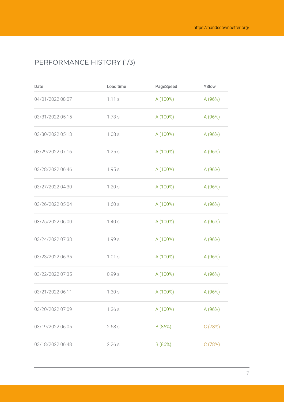## PERFORMANCE HISTORY (1/3)

| Date             | Load time | PageSpeed | YSlow   |
|------------------|-----------|-----------|---------|
| 04/01/2022 08:07 | 1.11 s    | A (100%)  | A (96%) |
| 03/31/2022 05:15 | 1.73s     | A (100%)  | A (96%) |
| 03/30/2022 05:13 | 1.08s     | A (100%)  | A (96%) |
| 03/29/2022 07:16 | 1.25s     | A (100%)  | A (96%) |
| 03/28/2022 06:46 | 1.95s     | A (100%)  | A (96%) |
| 03/27/2022 04:30 | 1.20s     | A (100%)  | A (96%) |
| 03/26/2022 05:04 | 1.60s     | A (100%)  | A (96%) |
| 03/25/2022 06:00 | 1.40s     | A (100%)  | A (96%) |
| 03/24/2022 07:33 | 1.99 s    | A (100%)  | A (96%) |
| 03/23/2022 06:35 | 1.01s     | A (100%)  | A (96%) |
| 03/22/2022 07:35 | 0.99s     | A (100%)  | A (96%) |
| 03/21/2022 06:11 | 1.30s     | A (100%)  | A (96%) |
| 03/20/2022 07:09 | 1.36s     | A (100%)  | A (96%) |
| 03/19/2022 06:05 | 2.68s     | B (86%)   | C(78%)  |
| 03/18/2022 06:48 | 2.26s     | B (86%)   | C(78%)  |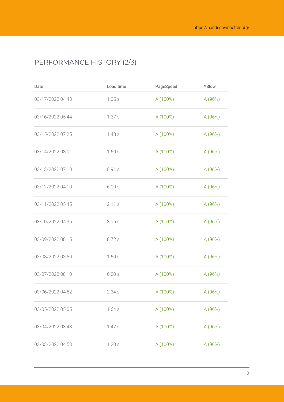## PERFORMANCE HISTORY (2/3)

| Date             | Load time | PageSpeed | YSlow   |
|------------------|-----------|-----------|---------|
| 03/17/2022 04:43 | 1.05s     | A (100%)  | A (96%) |
| 03/16/2022 05:44 | 1.37s     | A (100%)  | A (96%) |
| 03/15/2022 07:25 | 1.48s     | A (100%)  | A (96%) |
| 03/14/2022 08:01 | 1.50s     | A (100%)  | A (96%) |
| 03/13/2022 07:10 | 0.91s     | A (100%)  | A (96%) |
| 03/12/2022 04:10 | 6.00s     | A (100%)  | A (96%) |
| 03/11/2022 05:45 | 2.11 s    | A (100%)  | A (96%) |
| 03/10/2022 04:35 | 8.96 s    | A (100%)  | A (96%) |
| 03/09/2022 08:15 | 8.72 s    | A (100%)  | A (96%) |
| 03/08/2022 03:50 | 1.50s     | A (100%)  | A (96%) |
| 03/07/2022 08:10 | 6.20s     | A (100%)  | A (96%) |
| 03/06/2022 04:52 | 2.34s     | A (100%)  | A (96%) |
| 03/05/2022 05:05 | 1.64s     | A (100%)  | A (96%) |
| 03/04/2022 03:48 | 1.47s     | A (100%)  | A (96%) |
| 03/03/2022 04:53 | 1.20s     | A (100%)  | A (96%) |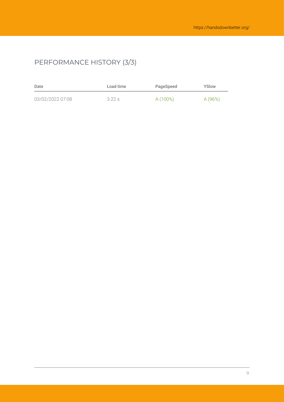## PERFORMANCE HISTORY (3/3)

| Date             | Load time | PageSpeed | YSlow  |
|------------------|-----------|-----------|--------|
| 03/02/2022 07:08 | 3.22s     | A (100%)  | A(96%) |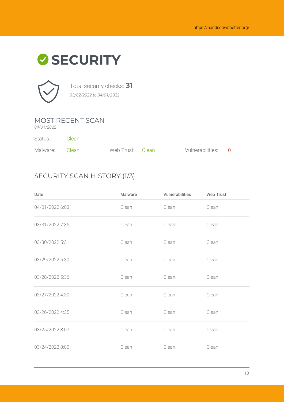



Total security checks: **31** *03/02/2022 to 04/01/2022*

#### MOST RECENT SCAN

*04/01/2022*

| Status:        | - Clean |                  |                    |  |
|----------------|---------|------------------|--------------------|--|
| Malware: Clean |         | Web Trust: Clean | Vulnerabilities: 0 |  |

#### SECURITY SCAN HISTORY (1/3)

| Date            | <b>Malware</b> | Vulnerabilities | <b>Web Trust</b> |
|-----------------|----------------|-----------------|------------------|
| 04/01/2022 6:03 | Clean          | Clean           | Clean            |
| 03/31/2022 7:36 | Clean          | Clean           | Clean            |
| 03/30/2022 5:31 | Clean          | Clean           | Clean            |
| 03/29/2022 5:30 | Clean          | Clean           | Clean            |
| 03/28/2022 5:36 | Clean          | Clean           | Clean            |
| 03/27/2022 4:30 | Clean          | Clean           | Clean            |
| 03/26/2022 4:35 | Clean          | Clean           | Clean            |
| 03/25/2022 8:07 | Clean          | Clean           | Clean            |
| 03/24/2022 8:00 | Clean          | Clean           | Clean            |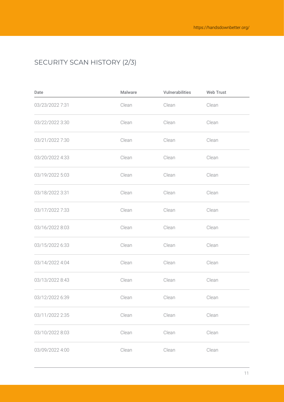## SECURITY SCAN HISTORY (2/3)

| Date            | <b>Malware</b> | Vulnerabilities | <b>Web Trust</b> |
|-----------------|----------------|-----------------|------------------|
| 03/23/2022 7:31 | Clean          | Clean           | Clean            |
| 03/22/2022 3:30 | Clean          | Clean           | Clean            |
| 03/21/2022 7:30 | Clean          | Clean           | Clean            |
| 03/20/2022 4:33 | Clean          | Clean           | Clean            |
| 03/19/2022 5:03 | Clean          | Clean           | Clean            |
| 03/18/2022 3:31 | Clean          | Clean           | Clean            |
| 03/17/2022 7:33 | Clean          | Clean           | Clean            |
| 03/16/2022 8:03 | Clean          | Clean           | Clean            |
| 03/15/2022 6:33 | Clean          | Clean           | Clean            |
| 03/14/2022 4:04 | Clean          | Clean           | Clean            |
| 03/13/2022 8:43 | Clean          | Clean           | Clean            |
| 03/12/2022 6:39 | Clean          | Clean           | Clean            |
| 03/11/2022 2:35 | Clean          | Clean           | Clean            |
| 03/10/2022 8:03 | Clean          | Clean           | Clean            |
| 03/09/2022 4:00 | Clean          | Clean           | Clean            |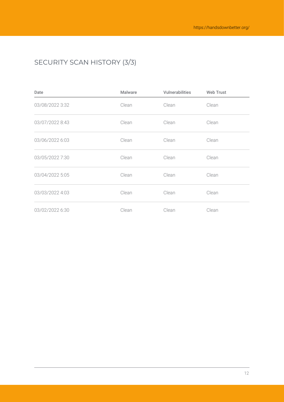## SECURITY SCAN HISTORY (3/3)

| Date            | <b>Malware</b> | Vulnerabilities | <b>Web Trust</b> |  |
|-----------------|----------------|-----------------|------------------|--|
| 03/08/2022 3:32 | Clean          | Clean           | Clean            |  |
| 03/07/2022 8:43 | Clean          | Clean           | Clean            |  |
| 03/06/2022 6:03 | Clean          | Clean           | Clean            |  |
| 03/05/2022 7:30 | Clean          | Clean           | Clean            |  |
| 03/04/2022 5:05 | Clean          | Clean           | Clean            |  |
| 03/03/2022 4:03 | Clean          | Clean           | Clean            |  |
| 03/02/2022 6:30 | Clean          | Clean           | Clean            |  |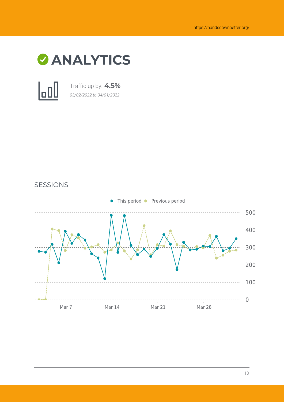



Traffic up by: **4.5%** *03/02/2022 to 04/01/2022*



#### SESSIONS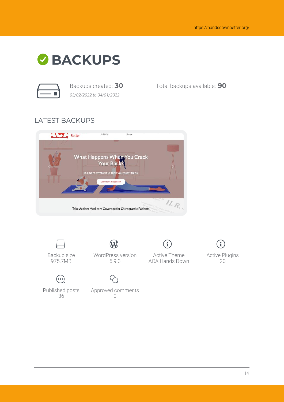

*03/02/2022 to 04/01/2022*

Backups created: **30** Total backups available: **90**

#### LATEST BACKUPS





Backup size 975.7MB



 $(\bullet\bullet\bullet)$ Published posts 36

Approved comments  $\bigcap$ 

WordPress version

i, Active Theme ACA Hands Down



Active Plugins 20